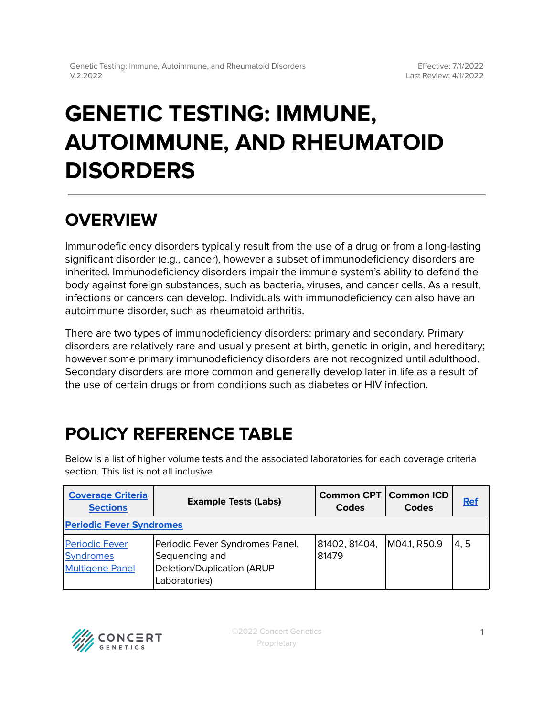# **GENETIC TESTING: IMMUNE, AUTOIMMUNE, AND RHEUMATOID DISORDERS**

## **OVERVIEW**

Immunodeficiency disorders typically result from the use of a drug or from a long-lasting significant disorder (e.g., cancer), however a subset of immunodeficiency disorders are inherited. Immunodeficiency disorders impair the immune system's ability to defend the body against foreign substances, such as bacteria, viruses, and cancer cells. As a result, infections or cancers can develop. Individuals with immunodeficiency can also have an autoimmune disorder, such as rheumatoid arthritis.

There are two types of immunodeficiency disorders: primary and secondary. Primary disorders are relatively rare and usually present at birth, genetic in origin, and hereditary; however some primary immunodeficiency disorders are not recognized until adulthood. Secondary disorders are more common and generally develop later in life as a result of the use of certain drugs or from conditions such as diabetes or HIV infection.

## <span id="page-0-0"></span>**POLICY REFERENCE TABLE**

Below is a list of higher volume tests and the associated laboratories for each coverage criteria section. This list is not all inclusive.

| <b>Coverage Criteria</b><br><b>Sections</b>                         | <b>Example Tests (Labs)</b>                                                                      | <b>Common CPT   Common ICD</b><br>Codes | Codes        | <b>Ref</b> |  |  |  |
|---------------------------------------------------------------------|--------------------------------------------------------------------------------------------------|-----------------------------------------|--------------|------------|--|--|--|
| <b>Periodic Fever Syndromes</b>                                     |                                                                                                  |                                         |              |            |  |  |  |
| <b>Periodic Fever</b><br><b>Syndromes</b><br><b>Multigene Panel</b> | Periodic Fever Syndromes Panel,<br>Sequencing and<br>Deletion/Duplication (ARUP<br>Laboratories) | 81402, 81404,<br>81479                  | M04.1, R50.9 | 4.5        |  |  |  |

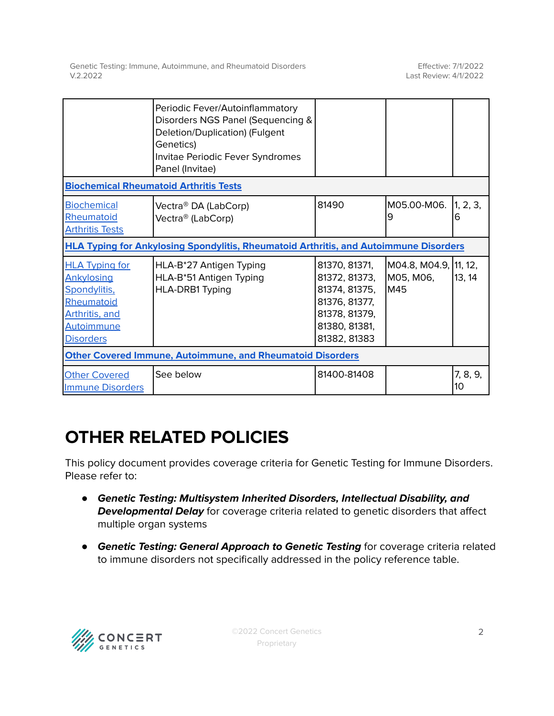|                                                                                                                                            | Periodic Fever/Autoinflammatory<br>Disorders NGS Panel (Sequencing &<br>Deletion/Duplication) (Fulgent<br>Genetics)<br>Invitae Periodic Fever Syndromes<br>Panel (Invitae) |                                                                                                                    |                                           |                   |  |  |  |
|--------------------------------------------------------------------------------------------------------------------------------------------|----------------------------------------------------------------------------------------------------------------------------------------------------------------------------|--------------------------------------------------------------------------------------------------------------------|-------------------------------------------|-------------------|--|--|--|
| <b>Biochemical Rheumatoid Arthritis Tests</b>                                                                                              |                                                                                                                                                                            |                                                                                                                    |                                           |                   |  |  |  |
| <b>Biochemical</b><br>Rheumatoid<br><b>Arthritis Tests</b>                                                                                 | Vectra® DA (LabCorp)<br>Vectra® (LabCorp)                                                                                                                                  | 81490                                                                                                              | M05.00-M06.<br>9                          | 1, 2, 3,<br>6     |  |  |  |
| <b>HLA Typing for Ankylosing Spondylitis, Rheumatoid Arthritis, and Autoimmune Disorders</b>                                               |                                                                                                                                                                            |                                                                                                                    |                                           |                   |  |  |  |
| <b>HLA Typing for</b><br><b>Ankylosing</b><br>Spondylitis,<br>Rheumatoid<br><b>Arthritis, and</b><br><b>Autoimmune</b><br><b>Disorders</b> | HLA-B*27 Antigen Typing<br>HLA-B*51 Antigen Typing<br>HLA-DRB1 Typing                                                                                                      | 81370, 81371,<br>81372, 81373,<br>81374, 81375,<br>81376, 81377,<br>81378, 81379,<br>81380, 81381,<br>81382, 81383 | M04.8, M04.9,<br>M05, M06,<br><b>IM45</b> | 11, 12,<br>13, 14 |  |  |  |
| <b>Other Covered Immune, Autoimmune, and Rheumatoid Disorders</b>                                                                          |                                                                                                                                                                            |                                                                                                                    |                                           |                   |  |  |  |
| <b>Other Covered</b><br><b>Immune Disorders</b>                                                                                            | See below                                                                                                                                                                  | 81400-81408                                                                                                        |                                           | 7, 8, 9,<br>10    |  |  |  |

## **OTHER RELATED POLICIES**

This policy document provides coverage criteria for Genetic Testing for Immune Disorders. Please refer to:

- **Genetic Testing: Multisystem Inherited Disorders, Intellectual Disability, and Developmental Delay** for coverage criteria related to genetic disorders that affect multiple organ systems
- **Genetic Testing: General Approach to Genetic Testing** for coverage criteria related to immune disorders not specifically addressed in the policy reference table.

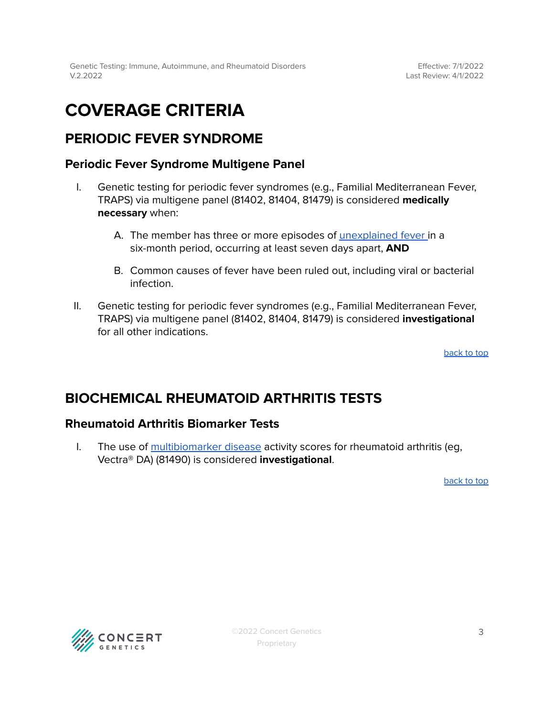## <span id="page-2-0"></span>**COVERAGE CRITERIA**

### <span id="page-2-1"></span>**PERIODIC FEVER SYNDROME**

### <span id="page-2-2"></span>**Periodic Fever Syndrome Multigene Panel**

- I. Genetic testing for periodic fever syndromes (e.g., Familial Mediterranean Fever, TRAPS) via multigene panel (81402, 81404, 81479) is considered **medically necessary** when:
	- A. The member has three or more episodes of [unexplained](#page-4-0) fever in a six-month period, occurring at least seven days apart, **AND**
	- B. Common causes of fever have been ruled out, including viral or bacterial infection.
- II. Genetic testing for periodic fever syndromes (e.g., Familial Mediterranean Fever, TRAPS) via multigene panel (81402, 81404, 81479) is considered **investigational** for all other indications.

[back](#page-0-0) to top

### <span id="page-2-3"></span>**BIOCHEMICAL RHEUMATOID ARTHRITIS TESTS**

### **Rheumatoid Arthritis Biomarker Tests**

I. The use of [multibiomarker](#page-4-0) disease activity scores for rheumatoid arthritis (eg, Vectra® DA) (81490) is considered **investigational**.

[back](#page-0-0) to top

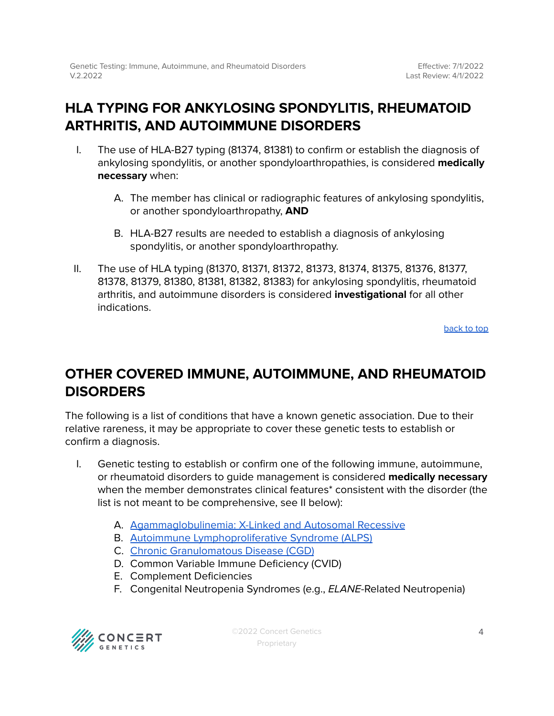### <span id="page-3-0"></span>**HLA TYPING FOR ANKYLOSING SPONDYLITIS, RHEUMATOID ARTHRITIS, AND AUTOIMMUNE DISORDERS**

- I. The use of HLA-B27 typing (81374, 81381) to confirm or establish the diagnosis of ankylosing spondylitis, or another spondyloarthropathies, is considered **medically necessary** when:
	- A. The member has clinical or radiographic features of ankylosing spondylitis, or another spondyloarthropathy, **AND**
	- B. HLA-B27 results are needed to establish a diagnosis of ankylosing spondylitis, or another spondyloarthropathy.
- II. The use of HLA typing (81370, 81371, 81372, 81373, 81374, 81375, 81376, 81377, 81378, 81379, 81380, 81381, 81382, 81383) for ankylosing spondylitis, rheumatoid arthritis, and autoimmune disorders is considered **investigational** for all other indications.

[back](#page-0-0) to top

### <span id="page-3-1"></span>**OTHER COVERED IMMUNE, AUTOIMMUNE, AND RHEUMATOID DISORDERS**

The following is a list of conditions that have a known genetic association. Due to their relative rareness, it may be appropriate to cover these genetic tests to establish or confirm a diagnosis.

- I. Genetic testing to establish or confirm one of the following immune, autoimmune, or rheumatoid disorders to guide management is considered **medically necessary** when the member demonstrates clinical features\* consistent with the disorder (the list is not meant to be comprehensive, see II below):
	- A. [Agammaglobulinemia:](https://www.ncbi.nlm.nih.gov/books/NBK1453/) X-Linked and Autosomal Recessive
	- B. Autoimmune [Lymphoproliferative](https://www.ncbi.nlm.nih.gov/books/NBK1108/) Syndrome (ALPS)
	- C. Chronic [Granulomatous](https://www.ncbi.nlm.nih.gov/books/NBK99496/) Disease (CGD)
	- D. Common Variable Immune Deficiency (CVID)
	- E. Complement Deficiencies
	- F. Congenital Neutropenia Syndromes (e.g., ELANE-Related Neutropenia)



©2022 Concert Genetics Proprietary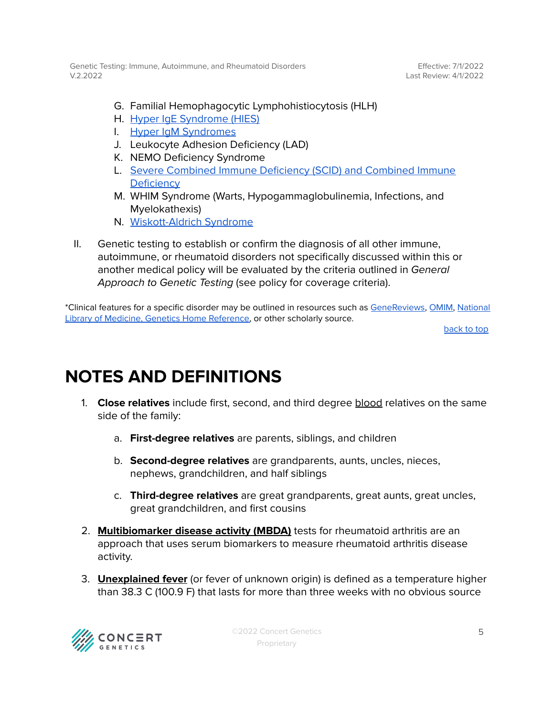Effective: 7/1/2022 Last Review: 4/1/2022

- G. Familial Hemophagocytic Lymphohistiocytosis (HLH)
- H. Hyper IgE [Syndrome](https://www.ncbi.nlm.nih.gov/books/NBK25507/) (HIES)
- I. Hyper IgM [Syndromes](https://www.ncbi.nlm.nih.gov/books/NBK1402/)
- J. Leukocyte Adhesion Deficiency (LAD)
- K. NEMO Deficiency Syndrome
- L. Severe Combined Immune [Deficiency](https://www.ncbi.nlm.nih.gov/books/NBK1410/) (SCID) and Combined Immune **[Deficiency](https://www.ncbi.nlm.nih.gov/books/NBK1410/)**
- M. WHIM Syndrome (Warts, Hypogammaglobulinemia, Infections, and Myelokathexis)
- N. [Wiskott-Aldrich](https://www.ncbi.nlm.nih.gov/books/NBK1178/) Syndrome
- II. Genetic testing to establish or confirm the diagnosis of all other immune, autoimmune, or rheumatoid disorders not specifically discussed within this or another medical policy will be evaluated by the criteria outlined in General Approach to Genetic Testing (see policy for coverage criteria).

\*Clinical features for a specific disorder may be outlined in resources such as [GeneReviews,](https://www.ncbi.nlm.nih.gov/books/NBK1116/) [OMIM,](https://www.omim.org/) [National](https://medlineplus.gov/genetics/) Library of Medicine, Genetics Home [Reference,](https://medlineplus.gov/genetics/) or other scholarly source.

[back](#page-0-0) to top

## <span id="page-4-0"></span>**NOTES AND DEFINITIONS**

- 1. **Close relatives** include first, second, and third degree blood relatives on the same side of the family:
	- a. **First-degree relatives** are parents, siblings, and children
	- b. **Second-degree relatives** are grandparents, aunts, uncles, nieces, nephews, grandchildren, and half siblings
	- c. **Third-degree relatives** are great grandparents, great aunts, great uncles, great grandchildren, and first cousins
- 2. **Multibiomarker disease activity (MBDA)** tests for rheumatoid arthritis are an approach that uses serum biomarkers to measure rheumatoid arthritis disease activity.
- 3. **Unexplained fever** (or fever of unknown origin) is defined as a temperature higher than 38.3 C (100.9 F) that lasts for more than three weeks with no obvious source

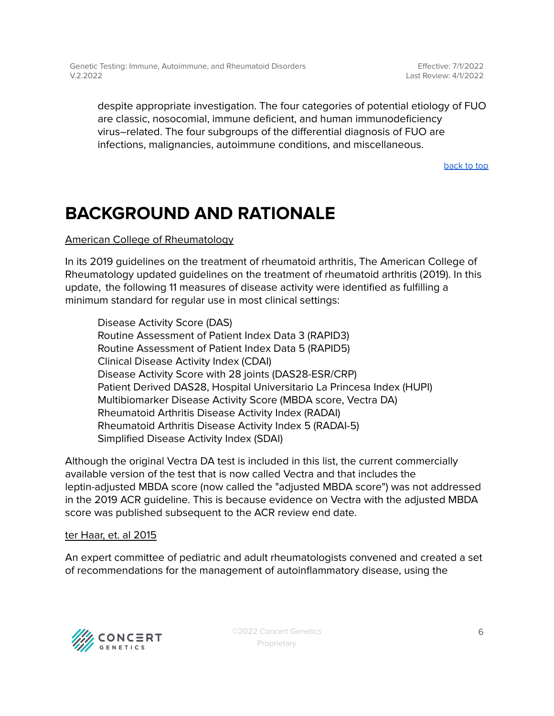Effective: 7/1/2022 Last Review: 4/1/2022

despite appropriate investigation. The four categories of potential etiology of FUO are classic, nosocomial, immune deficient, and human immunodeficiency virus–related. The four subgroups of the differential diagnosis of FUO are infections, malignancies, autoimmune conditions, and miscellaneous.

[back](#page-0-0) to top

## **BACKGROUND AND RATIONALE**

American College of Rheumatology

In its 2019 guidelines on the treatment of rheumatoid arthritis, The American College of Rheumatology updated guidelines on the treatment of rheumatoid arthritis (2019). In this update, the following 11 measures of disease activity were identified as fulfilling a minimum standard for regular use in most clinical settings:

Disease Activity Score (DAS) Routine Assessment of Patient Index Data 3 (RAPID3) Routine Assessment of Patient Index Data 5 (RAPID5) Clinical Disease Activity Index (CDAI) Disease Activity Score with 28 joints (DAS28-ESR/CRP) Patient Derived DAS28, Hospital Universitario La Princesa Index (HUPI) Multibiomarker Disease Activity Score (MBDA score, Vectra DA) Rheumatoid Arthritis Disease Activity Index (RADAI) Rheumatoid Arthritis Disease Activity Index 5 (RADAI-5) Simplified Disease Activity Index (SDAI)

Although the original Vectra DA test is included in this list, the current commercially available version of the test that is now called Vectra and that includes the leptin-adjusted MBDA score (now called the "adjusted MBDA score") was not addressed in the 2019 ACR guideline. This is because evidence on Vectra with the adjusted MBDA score was published subsequent to the ACR review end date.

#### ter Haar, et. al 2015

An expert committee of pediatric and adult rheumatologists convened and created a set of recommendations for the management of autoinflammatory disease, using the



©2022 Concert Genetics Proprietary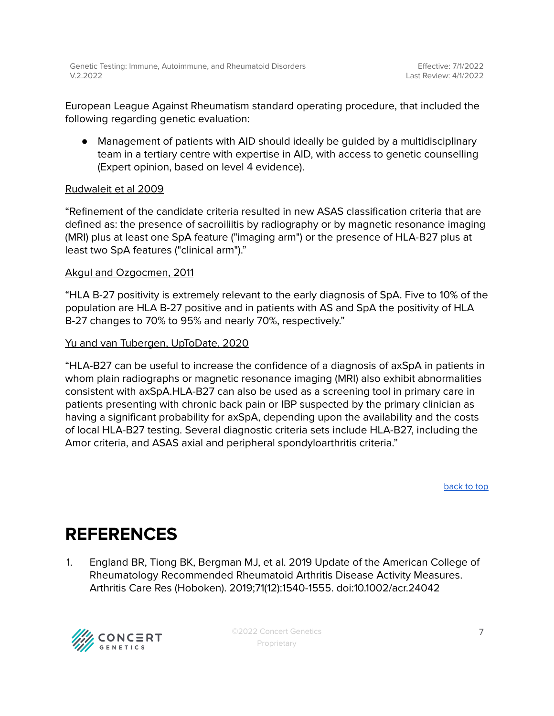European League Against Rheumatism standard operating procedure, that included the following regarding genetic evaluation:

● Management of patients with AID should ideally be guided by a multidisciplinary team in a tertiary centre with expertise in AID, with access to genetic counselling (Expert opinion, based on level 4 evidence).

#### Rudwaleit et al 2009

"Refinement of the candidate criteria resulted in new ASAS classification criteria that are defined as: the presence of sacroiliitis by radiography or by magnetic resonance imaging (MRI) plus at least one SpA feature ("imaging arm") or the presence of HLA-B27 plus at least two SpA features ("clinical arm")."

#### Akgul and Ozgocmen, 2011

"HLA B-27 positivity is extremely relevant to the early diagnosis of SpA. Five to 10% of the population are HLA B-27 positive and in patients with AS and SpA the positivity of HLA B-27 changes to 70% to 95% and nearly 70%, respectively."

#### Yu and van Tubergen, UpToDate, 2020

"HLA-B27 can be useful to increase the confidence of a diagnosis of axSpA in patients in whom plain radiographs or magnetic resonance imaging (MRI) also exhibit abnormalities consistent with axSpA.HLA-B27 can also be used as a screening tool in primary care in patients presenting with chronic back pain or IBP suspected by the primary clinician as having a significant probability for axSpA, depending upon the availability and the costs of local HLA-B27 testing. Several diagnostic criteria sets include HLA-B27, including the Amor criteria, and ASAS axial and peripheral spondyloarthritis criteria."

[back](#page-0-0) to top

## <span id="page-6-0"></span>**REFERENCES**

1. England BR, Tiong BK, Bergman MJ, et al. 2019 Update of the American College of Rheumatology Recommended Rheumatoid Arthritis Disease Activity Measures. Arthritis Care Res (Hoboken). 2019;71(12):1540-1555. doi:10.1002/acr.24042



©2022 Concert Genetics Proprietary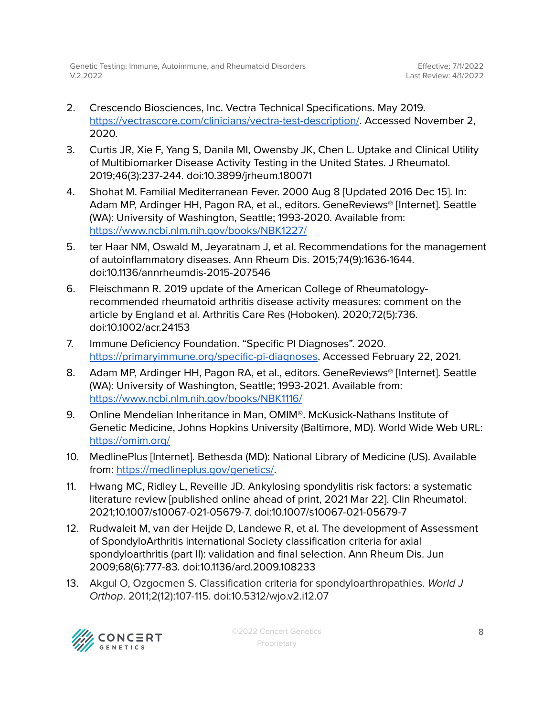- 2. Crescendo Biosciences, Inc. Vectra Technical Specifications. May 2019. <https://vectrascore.com/clinicians/vectra-test-description/>. Accessed November 2, 2020.
- 3. Curtis JR, Xie F, Yang S, Danila MI, Owensby JK, Chen L. Uptake and Clinical Utility of Multibiomarker Disease Activity Testing in the United States. J Rheumatol. 2019;46(3):237-244. doi:10.3899/jrheum.180071
- 4. Shohat M. Familial Mediterranean Fever. 2000 Aug 8 [Updated 2016 Dec 15]. In: Adam MP, Ardinger HH, Pagon RA, et al., editors. GeneReviews® [Internet]. Seattle (WA): University of Washington, Seattle; 1993-2020. Available from: <https://www.ncbi.nlm.nih.gov/books/NBK1227/>
- 5. ter Haar NM, Oswald M, Jeyaratnam J, et al. Recommendations for the management of autoinflammatory diseases. Ann Rheum Dis. 2015;74(9):1636-1644. doi:10.1136/annrheumdis-2015-207546
- 6. Fleischmann R. 2019 update of the American College of Rheumatologyrecommended rheumatoid arthritis disease activity measures: comment on the article by England et al. Arthritis Care Res (Hoboken). 2020;72(5):736. doi:10.1002/acr.24153
- 7. Immune Deficiency Foundation. "Specific PI Diagnoses". 2020. <https://primaryimmune.org/specific-pi-diagnoses>. Accessed February 22, 2021.
- 8. Adam MP, Ardinger HH, Pagon RA, et al., editors. GeneReviews® [Internet]. Seattle (WA): University of Washington, Seattle; 1993-2021. Available from: <https://www.ncbi.nlm.nih.gov/books/NBK1116/>
- 9. Online Mendelian Inheritance in Man, OMIM®. McKusick-Nathans Institute of Genetic Medicine, Johns Hopkins University (Baltimore, MD). World Wide Web URL: <https://omim.org/>
- 10. MedlinePlus [Internet]. Bethesda (MD): National Library of Medicine (US). Available from: [https://medlineplus.gov/genetics/.](https://medlineplus.gov/genetics/)
- 11. Hwang MC, Ridley L, Reveille JD. Ankylosing spondylitis risk factors: a systematic literature review [published online ahead of print, 2021 Mar 22]. Clin Rheumatol. 2021;10.1007/s10067-021-05679-7. doi:10.1007/s10067-021-05679-7
- 12. Rudwaleit M, van der Heijde D, Landewe R, et al. The development of Assessment of SpondyloArthritis international Society classification criteria for axial spondyloarthritis (part II): validation and final selection. Ann Rheum Dis. Jun 2009;68(6):777-83. doi:10.1136/ard.2009.108233
- 13. Akgul O, Ozgocmen S. Classification criteria for spondyloarthropathies. World J Orthop. 2011;2(12):107-115. doi:10.5312/wjo.v2.i12.07